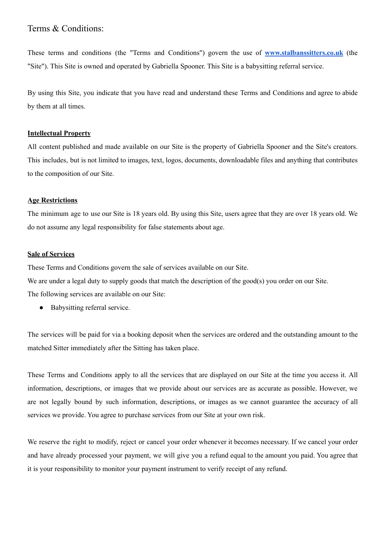# Terms & Conditions:

These terms and conditions (the "Terms and Conditions") govern the use of **[www.stalbanssitters.co.uk](http://www.stalbanssitters.co.uk/)** (the "Site"). This Site is owned and operated by Gabriella Spooner. This Site is a babysitting referral service.

By using this Site, you indicate that you have read and understand these Terms and Conditions and agree to abide by them at all times.

## **Intellectual Property**

All content published and made available on our Site is the property of Gabriella Spooner and the Site's creators. This includes, but is not limited to images, text, logos, documents, downloadable files and anything that contributes to the composition of our Site.

## **Age Restrictions**

The minimum age to use our Site is 18 years old. By using this Site, users agree that they are over 18 years old. We do not assume any legal responsibility for false statements about age.

## **Sale of Services**

These Terms and Conditions govern the sale of services available on our Site.

We are under a legal duty to supply goods that match the description of the good(s) you order on our Site.

The following services are available on our Site:

• Babysitting referral service.

The services will be paid for via a booking deposit when the services are ordered and the outstanding amount to the matched Sitter immediately after the Sitting has taken place.

These Terms and Conditions apply to all the services that are displayed on our Site at the time you access it. All information, descriptions, or images that we provide about our services are as accurate as possible. However, we are not legally bound by such information, descriptions, or images as we cannot guarantee the accuracy of all services we provide. You agree to purchase services from our Site at your own risk.

We reserve the right to modify, reject or cancel your order whenever it becomes necessary. If we cancel your order and have already processed your payment, we will give you a refund equal to the amount you paid. You agree that it is your responsibility to monitor your payment instrument to verify receipt of any refund.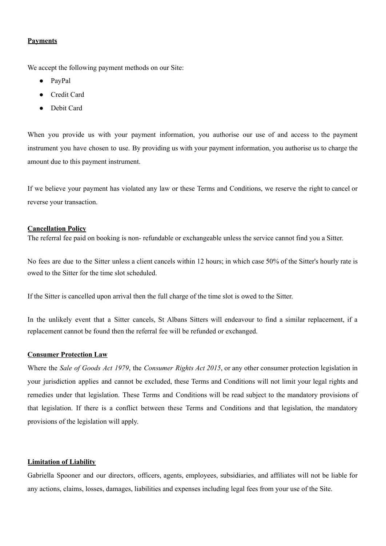## **Payments**

We accept the following payment methods on our Site:

- PayPal
- Credit Card
- Debit Card

When you provide us with your payment information, you authorise our use of and access to the payment instrument you have chosen to use. By providing us with your payment information, you authorise us to charge the amount due to this payment instrument.

If we believe your payment has violated any law or these Terms and Conditions, we reserve the right to cancel or reverse your transaction.

## **Cancellation Policy**

The referral fee paid on booking is non- refundable or exchangeable unless the service cannot find you a Sitter.

No fees are due to the Sitter unless a client cancels within 12 hours; in which case 50% of the Sitter's hourly rate is owed to the Sitter for the time slot scheduled.

If the Sitter is cancelled upon arrival then the full charge of the time slot is owed to the Sitter.

In the unlikely event that a Sitter cancels, St Albans Sitters will endeavour to find a similar replacement, if a replacement cannot be found then the referral fee will be refunded or exchanged.

## **Consumer Protection Law**

Where the *Sale of Goods Act 1979*, the *Consumer Rights Act 2015*, or any other consumer protection legislation in your jurisdiction applies and cannot be excluded, these Terms and Conditions will not limit your legal rights and remedies under that legislation. These Terms and Conditions will be read subject to the mandatory provisions of that legislation. If there is a conflict between these Terms and Conditions and that legislation, the mandatory provisions of the legislation will apply.

#### **Limitation of Liability**

Gabriella Spooner and our directors, officers, agents, employees, subsidiaries, and affiliates will not be liable for any actions, claims, losses, damages, liabilities and expenses including legal fees from your use of the Site.